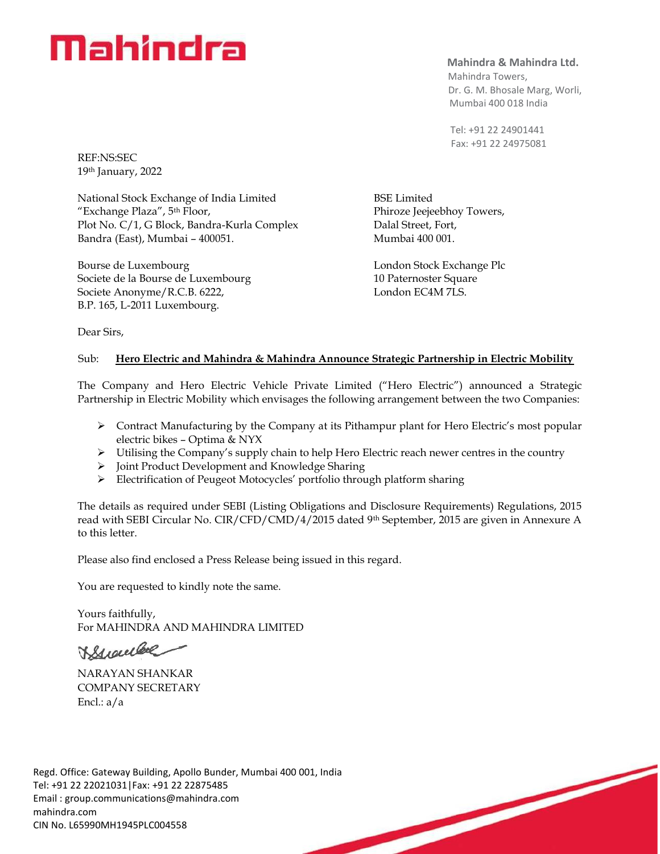# Mahindra

**Mahindra & Mahindra Ltd.**

 Mahindra Towers, Dr. G. M. Bhosale Marg, Worli, Mumbai 400 018 India

 Tel: +91 22 24901441 Fax: +91 22 24975081

BSE Limited Phiroze Jeejeebhoy Towers, Dalal Street, Fort, Mumbai 400 001.

London Stock Exchange Plc 10 Paternoster Square London EC4M 7LS.

REF:NS:SEC 19th January, 2022

National Stock Exchange of India Limited "Exchange Plaza", 5th Floor, Plot No. C/1, G Block, Bandra-Kurla Complex Bandra (East), Mumbai – 400051.

Bourse de Luxembourg Societe de la Bourse de Luxembourg Societe Anonyme/R.C.B. 6222, B.P. 165, L-2011 Luxembourg.

Dear Sirs,

### Sub: **Hero Electric and Mahindra & Mahindra Announce Strategic Partnership in Electric Mobility**

The Company and Hero Electric Vehicle Private Limited ("Hero Electric") announced a Strategic Partnership in Electric Mobility which envisages the following arrangement between the two Companies:

- ➢ Contract Manufacturing by the Company at its Pithampur plant for Hero Electric's most popular electric bikes – Optima & NYX
- $\triangleright$  Utilising the Company's supply chain to help Hero Electric reach newer centres in the country
- ➢ Joint Product Development and Knowledge Sharing
- ➢ Electrification of Peugeot Motocycles' portfolio through platform sharing

The details as required under SEBI (Listing Obligations and Disclosure Requirements) Regulations, 2015 read with SEBI Circular No. CIR/CFD/CMD/4/2015 dated 9th September, 2015 are given in Annexure A to this letter.

Please also find enclosed a Press Release being issued in this regard.

You are requested to kindly note the same.

Yours faithfully, For MAHINDRA AND MAHINDRA LIMITED

VStrauber

NARAYAN SHANKAR COMPANY SECRETARY Encl.: a/a

Regd. Office: Gateway Building, Apollo Bunder, Mumbai 400 001, India Tel: +91 22 22021031|Fax: +91 22 22875485 Email : [group.communications@mahindra.com](mailto:group.communications@mahindra.com) mahindra.com CIN No. L65990MH1945PLC004558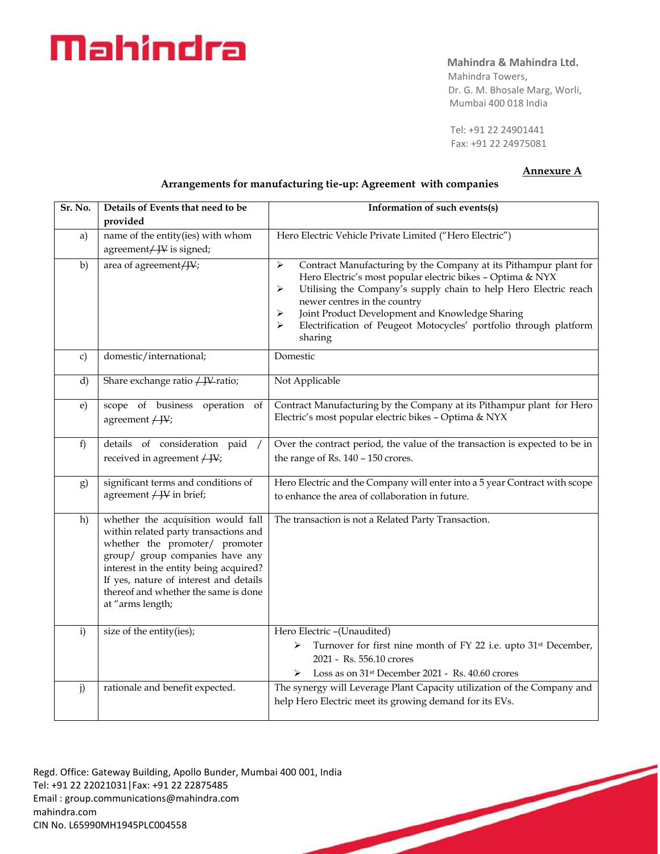# Mahindra

### **Mahindra & Mahindra Ltd.**

 Mahindra Towers, Dr. G. M. Bhosale Marg, Worli, Mumbai 400 018 India

 Tel: +91 22 24901441 Fax: +91 22 24975081

#### **Annexure A**

#### **Arrangements for manufacturing tie-up: Agreement with companies**

| Sr. No.       | Details of Events that need to be<br>provided                                                                                                                                                                                                                                                    | Information of such events(s)                                                                                                                                                                                                                                                                                                                                                             |
|---------------|--------------------------------------------------------------------------------------------------------------------------------------------------------------------------------------------------------------------------------------------------------------------------------------------------|-------------------------------------------------------------------------------------------------------------------------------------------------------------------------------------------------------------------------------------------------------------------------------------------------------------------------------------------------------------------------------------------|
| a)            | name of the entity(ies) with whom<br>agreement/ JV is signed;                                                                                                                                                                                                                                    | Hero Electric Vehicle Private Limited ("Hero Electric")                                                                                                                                                                                                                                                                                                                                   |
| b)            | area of agreement/W;                                                                                                                                                                                                                                                                             | ➤<br>Contract Manufacturing by the Company at its Pithampur plant for<br>Hero Electric's most popular electric bikes - Optima & NYX<br>Utilising the Company's supply chain to help Hero Electric reach<br>➤<br>newer centres in the country<br>Joint Product Development and Knowledge Sharing<br>➤<br>Electrification of Peugeot Motocycles' portfolio through platform<br>⋗<br>sharing |
| $\mathbf{c})$ | domestic/international;                                                                                                                                                                                                                                                                          | Domestic                                                                                                                                                                                                                                                                                                                                                                                  |
| d)            | Share exchange ratio / JV ratio;                                                                                                                                                                                                                                                                 | Not Applicable                                                                                                                                                                                                                                                                                                                                                                            |
| $\epsilon$    | scope of business operation<br>of<br>agreement $/$ JV;                                                                                                                                                                                                                                           | Contract Manufacturing by the Company at its Pithampur plant for Hero<br>Electric's most popular electric bikes - Optima & NYX                                                                                                                                                                                                                                                            |
| f)            | details of consideration paid<br>received in agreement $/$ JV;                                                                                                                                                                                                                                   | Over the contract period, the value of the transaction is expected to be in<br>the range of Rs. 140 - 150 crores.                                                                                                                                                                                                                                                                         |
| g)            | significant terms and conditions of<br>agreement $/$ JV in brief;                                                                                                                                                                                                                                | Hero Electric and the Company will enter into a 5 year Contract with scope<br>to enhance the area of collaboration in future.                                                                                                                                                                                                                                                             |
| h)            | whether the acquisition would fall<br>within related party transactions and<br>whether the promoter/ promoter<br>group/ group companies have any<br>interest in the entity being acquired?<br>If yes, nature of interest and details<br>thereof and whether the same is done<br>at "arms length; | The transaction is not a Related Party Transaction.                                                                                                                                                                                                                                                                                                                                       |
| $\mathbf{i}$  | size of the entity(ies);                                                                                                                                                                                                                                                                         | Hero Electric -(Unaudited)<br>Turnover for first nine month of FY 22 i.e. upto 31 <sup>st</sup> December,<br>➤<br>2021 - Rs. 556.10 crores<br>Loss as on 31 <sup>st</sup> December 2021 - Rs. 40.60 crores<br>➤                                                                                                                                                                           |
| j)            | rationale and benefit expected.                                                                                                                                                                                                                                                                  | The synergy will Leverage Plant Capacity utilization of the Company and<br>help Hero Electric meet its growing demand for its EVs.                                                                                                                                                                                                                                                        |

Regd. Office: Gateway Building, Apollo Bunder, Mumbai 400 001, India Tel: +91 22 22021031|Fax: +91 22 22875485 Email : [group.communications@mahindra.com](mailto:group.communications@mahindra.com) mahindra.com CIN No. L65990MH1945PLC004558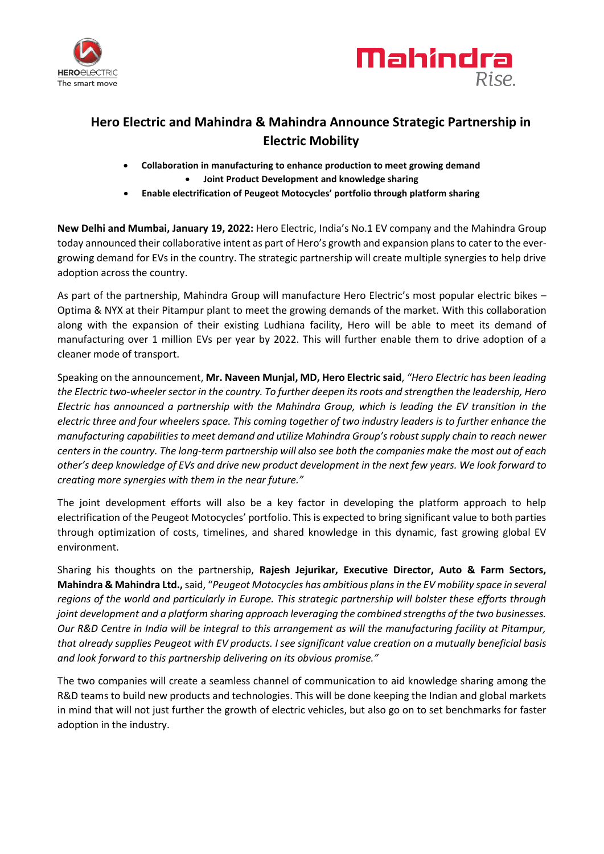



# **Hero Electric and Mahindra & Mahindra Announce Strategic Partnership in Electric Mobility**

- **Collaboration in manufacturing to enhance production to meet growing demand** • **Joint Product Development and knowledge sharing**
- **Enable electrification of Peugeot Motocycles' portfolio through platform sharing**

**New Delhi and Mumbai, January 19, 2022:** Hero Electric, India's No.1 EV company and the Mahindra Group today announced their collaborative intent as part of Hero's growth and expansion plans to cater to the evergrowing demand for EVs in the country. The strategic partnership will create multiple synergies to help drive adoption across the country.

As part of the partnership, Mahindra Group will manufacture Hero Electric's most popular electric bikes – Optima & NYX at their Pitampur plant to meet the growing demands of the market. With this collaboration along with the expansion of their existing Ludhiana facility, Hero will be able to meet its demand of manufacturing over 1 million EVs per year by 2022. This will further enable them to drive adoption of a cleaner mode of transport.

Speaking on the announcement, **Mr. Naveen Munjal, MD, Hero Electric said**, *"Hero Electric has been leading the Electric two-wheeler sector in the country. To further deepen its roots and strengthen the leadership, Hero Electric has announced a partnership with the Mahindra Group, which is leading the EV transition in the electric three and four wheelers space. This coming together of two industry leaders is to further enhance the manufacturing capabilities to meet demand and utilize Mahindra Group's robust supply chain to reach newer centers in the country. The long-term partnership will also see both the companies make the most out of each other's deep knowledge of EVs and drive new product development in the next few years. We look forward to creating more synergies with them in the near future."*

The joint development efforts will also be a key factor in developing the platform approach to help electrification of the Peugeot Motocycles' portfolio. This is expected to bring significant value to both parties through optimization of costs, timelines, and shared knowledge in this dynamic, fast growing global EV environment.

Sharing his thoughts on the partnership, **Rajesh Jejurikar, Executive Director, Auto & Farm Sectors, Mahindra & Mahindra Ltd.,** said, "*Peugeot Motocycles has ambitious plans in the EV mobility space in several regions of the world and particularly in Europe. This strategic partnership will bolster these efforts through joint development and a platform sharing approach leveraging the combined strengths of the two businesses. Our R&D Centre in India will be integral to this arrangement as will the manufacturing facility at Pitampur, that already supplies Peugeot with EV products. I see significant value creation on a mutually beneficial basis and look forward to this partnership delivering on its obvious promise."*

The two companies will create a seamless channel of communication to aid knowledge sharing among the R&D teams to build new products and technologies. This will be done keeping the Indian and global markets in mind that will not just further the growth of electric vehicles, but also go on to set benchmarks for faster adoption in the industry.